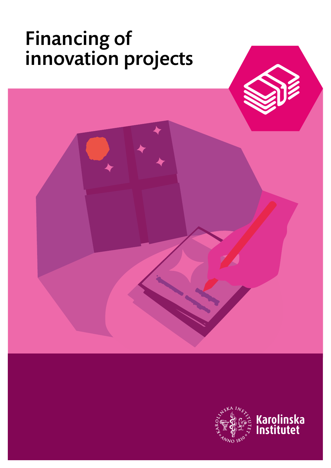# Financing of innovation projects



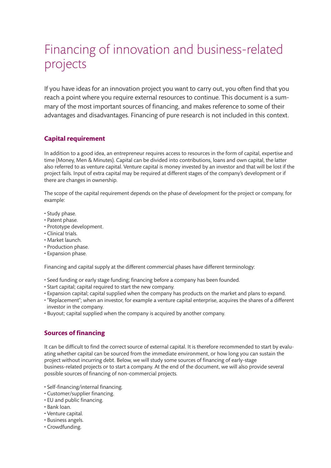# Financing of innovation and business-related projects

If you have ideas for an innovation project you want to carry out, you often find that you reach a point where you require external resources to continue. This document is a summary of the most important sources of financing, and makes reference to some of their advantages and disadvantages. Financing of pure research is not included in this context.

### **Capital requirement**

In addition to a good idea, an entrepreneur requires access to resources in the form of capital, expertise and time (Money, Men & Minutes). Capital can be divided into contributions, loans and own capital, the latter also referred to as venture capital. Venture capital is money invested by an investor and that will be lost if the project fails. Input of extra capital may be required at different stages of the company's development or if there are changes in ownership.

The scope of the capital requirement depends on the phase of development for the project or company, for example:

- Study phase.
- Patent phase.
- Prototype development.
- Clinical trials.
- Market launch.
- Production phase.
- Expansion phase.

Financing and capital supply at the different commercial phases have different terminology:

- Seed funding or early stage funding; financing before a company has been founded.
- Start capital; capital required to start the new company.
- Expansion capital; capital supplied when the company has products on the market and plans to expand.
- "Replacement"; when an investor, for example a venture capital enterprise, acquires the shares of a different investor in the company.
- Buyout; capital supplied when the company is acquired by another company.

### **Sources of financing**

It can be difficult to find the correct source of external capital. It is therefore recommended to start by evaluating whether capital can be sourced from the immediate environment, or how long you can sustain the project without incurring debt. Below, we will study some sources of financing of early-stage business-related projects or to start a company. At the end of the document, we will also provide several possible sources of financing of non-commercial projects.

- Self-financing/internal financing.
- Customer/supplier financing.
- EU and public financing.
- Bank loan.
- Venture capital.
- Business angels.
- Crowdfunding.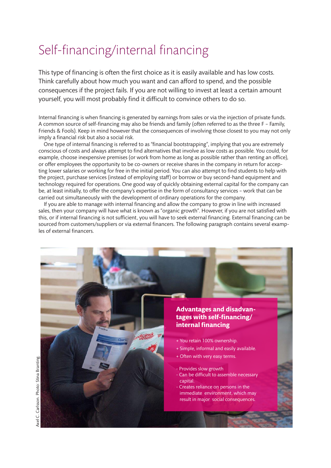# Self-financing/internal financing

This type of financing is often the first choice as it is easily available and has low costs. Think carefully about how much you want and can afford to spend, and the possible consequences if the project fails. If you are not willing to invest at least a certain amount yourself, you will most probably find it difficult to convince others to do so.

Internal financing is when financing is generated by earnings from sales or via the injection of private funds. A common source of self-financing may also be friends and family (often referred to as the three F – Family, Friends & Fools). Keep in mind however that the consequences of involving those closest to you may not only imply a financial risk but also a social risk.

 One type of internal financing is referred to as "financial bootstrapping", implying that you are extremely conscious of costs and always attempt to find alternatives that involve as low costs as possible. You could, for example, choose inexpensive premises (or work from home as long as possible rather than renting an office), or offer employees the opportunity to be co-owners or receive shares in the company in return for accepting lower salaries or working for free in the initial period. You can also attempt to find students to help with the project, purchase services (instead of employing staff) or borrow or buy second-hand equipment and technology required for operations. One good way of quickly obtaining external capital for the company can be, at least initially, to offer the company's expertise in the form of consultancy services – work that can be carried out simultaneously with the development of ordinary operations for the company.

 If you are able to manage with internal financing and allow the company to grow in line with increased sales, then your company will have what is known as "organic growth". However, if you are not satisfied with this, or if internal financing is not sufficient, you will have to seek external financing. External financing can be sourced from customers/suppliers or via external financers. The following paragraph contains several examples of external financers.

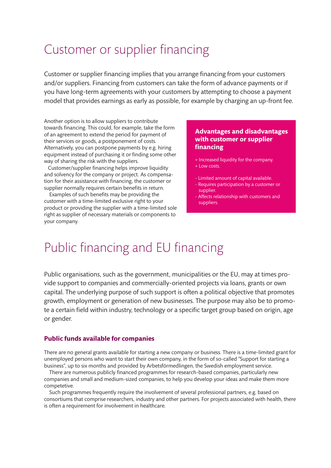# Customer or supplier financing

Customer or supplier financing implies that you arrange financing from your customers and/or suppliers. Financing from customers can take the form of advance payments or if you have long-term agreements with your customers by attempting to choose a payment model that provides earnings as early as possible, for example by charging an up-front fee.

Another option is to allow suppliers to contribute towards financing. This could, for example, take the form of an agreement to extend the period for payment of their services or goods, a postponement of costs. Alternatively, you can postpone payments by e.g. hiring equipment instead of purchasing it or finding some other way of sharing the risk with the suppliers.

 Customer/supplier financing helps improve liquidity and solvency for the company or project. As compensation for their assistance with financing, the customer or supplier normally requires certain benefits in return.

 Examples of such benefits may be providing the customer with a time-limited exclusive right to your product or providing the supplier with a time-limited sole right as supplier of necessary materials or components to your company.

### **Advantages and disadvantages with customer or supplier financing**

- + Increased liquidity for the company.
- + Low costs.
- Limited amount of capital available.
- Requires participation by a customer or supplier.
- Affects relationship with customers and suppliers.

# Public financing and EU financing

Public organisations, such as the government, municipalities or the EU, may at times provide support to companies and commercially-oriented projects via loans, grants or own capital. The underlying purpose of such support is often a political objective that promotes growth, employment or generation of new businesses. The purpose may also be to promote a certain field within industry, technology or a specific target group based on origin, age or gender.

### **Public funds available for companies**

There are no general grants available for starting a new company or business. There is a time-limited grant for unemployed persons who want to start their own company, in the form of so-called "Support for starting a business", up to six months and provided by Arbetsförmedlingen, the Swedish employment service.

 There are numerous publicly financed programmes for research-based companies, particularly new companies and small and medium-sized companies, to help you develop your ideas and make them more competetive.

 Such programmes frequently require the involvement of several professional partners, e.g. based on consortiums that comprise researchers, industry and other partners. For projects associated with health, there is often a requirement for involvement in healthcare.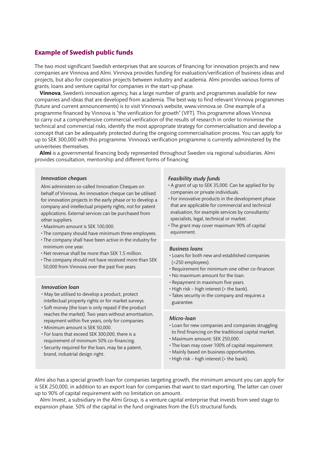#### **Example of Swedish public funds**

The two most significant Swedish enterprises that are sources of financing for innovation projects and new companies are Vinnova and Almi. Vinnova provides funding for evaluation/verification of business ideas and projects, but also for cooperation projects between industry and academia. Almi provides various forms of grants, loans and venture capital for companies in the start-up phase.

 **Vinnova**, Sweden's innovation agency, has a large number of grants and programmes available for new companies and ideas that are developed from academia. The best way to find relevant Vinnova programmes (future and current announcements) is to visit Vinnova's website, www.vinnova.se. One example of a programme financed by Vinnova is "the verification for growth" (VFT). This programme allows Vinnova to carry out a comprehensive commercial verification of the results of research in order to minimise the technical and commercial risks, identify the most appropriate strategy for commercialisation and develop a concept that can be adequately protected during the ongoing commercialisation process. You can apply for up to SEK 300,000 with this programme. Vinnova's verification programme is currently administered by the univeriteies themselves.

 **Almi** is a governmental financing body represented throughout Sweden via regional subsidiaries. Almi provides consultation, mentorship and different forms of financing:

#### *Innovation cheques*

Almi administers so-called Innovation Cheques on behalf of Vinnova. An innovation cheque can be utilised for innovation projects in the early phase or to develop a company and intellectual property rights, not for patent applications. External services can be purchased from other suppliers.

- Maximum amount is SEK 100,000.
- The company should have minimum three employees.
- The company shall have been active in the industry for minimum one year.
- Net revenue shall be more than SEK 1.5 million.
- The company should not have received more than SEK 50,000 from Vinnova over the past five years.

#### *Innovation loan*

- May be utilised to develop a product, protect intellectual property rights or for market surveys.
- Soft money (the loan is only repaid if the product reaches the market). Two years without amortisation, repayment within five years, only for companies.
- Minimum amount is SEK 50,000.
- For loans that exceed SEK 300,000, there is a requirement of minimum 50% co-financing.
- Security required for the loan, may be a patent, brand, industrial design right.

#### *Feasibility study funds*

- A grant of up to SEK 35,000. Can be applied for by companies or private individuals.
- For innovative products in the development phase that are applicable for commercial and technical evaluation, for example services by consultants/ specialists, legal, technical or market.
- The grant may cover maximum 90% of capital equirement.

#### *Business loans*

- Loans for both new and established companies (<250 employees).
- Requirement for minimum one other co-financer.
- No maximum amount for the loan.
- Repayment in maximum five years.
- High risk high interest (> the bank).
- Takes security in the company and requires a guarantee.

#### *Micro-loan*

- Loan for new companies and companies struggling to find financing on the traditional capital market.
- Maximum amount: SEK 250,000.
- The loan may cover 100% of capital requirement.
- Mainly based on business opportunities.
- High risk high interest (> the bank).

Almi also has a special growth loan for companies targeting growth, the minimum amount you can apply for is SEK 250,000, in addition to an export loan for companies that want to start exporting. The latter can cover up to 90% of capital requirement with no limitation on amount.

 Almi Invest, a subsidiary in the Almi Group, is a venture capital enterprise that invests from seed stage to expansion phase. 50% of the capital in the fund originates from the EU's structural funds.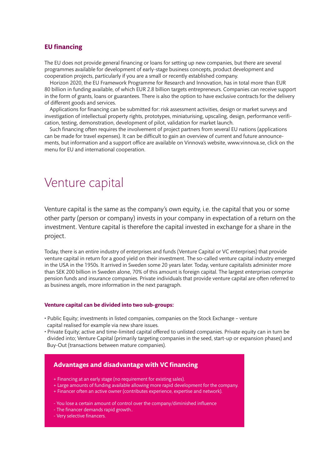### **EU financing**

The EU does not provide general financing or loans for setting up new companies, but there are several programmes available for development of early-stage business concepts, product development and cooperation projects, particularly if you are a small or recently established company.

 Horizon 2020, the EU Framework Programme for Research and Innovation, has in total more than EUR 80 billion in funding available, of which EUR 2.8 billion targets entrepreneurs. Companies can receive support in the form of grants, loans or guarantees. There is also the option to have exclusive contracts for the delivery of different goods and services.

 Applications for financing can be submitted for: risk assessment activities, design or market surveys and investigation of intellectual property rights, prototypes, miniaturising, upscaling, design, performance verification, testing, demonstration, development of pilot, validation for market launch.

 Such financing often requires the involvement of project partners from several EU nations (applications can be made for travel expenses). It can be difficult to gain an overview of current and future announcements, but information and a support office are available on Vinnova's website, www.vinnova.se, click on the menu for EU and international cooperation.

# Venture capital

Venture capital is the same as the company's own equity, i.e. the capital that you or some other party (person or company) invests in your company in expectation of a return on the investment. Venture capital is therefore the capital invested in exchange for a share in the project.

Today, there is an entire industry of enterprises and funds (Venture Capital or VC enterprises) that provide venture capital in return for a good yield on their investment. The so-called venture capital industry emerged in the USA in the 1950s. It arrived in Sweden some 20 years later. Today, venture capitalists administer more than SEK 200 billion in Sweden alone, 70% of this amount is foreign capital. The largest enterprises comprise pension funds and insurance companies. Private individuals that provide venture capital are often referred to as business angels, more information in the next paragraph.

#### **Venture capital can be divided into two sub-groups:**

- Public Equity; investments in listed companies, companies on the Stock Exchange venture capital realised for example via new share issues.
- Private Equity; active and time-limited capital offered to unlisted companies. Private equity can in turn be divided into; Venture Capital (primarily targeting companies in the seed, start-up or expansion phases) and Buy-Out (transactions between mature companies).

### **Advantages and disadvantage with VC financing**

- + Financing at an early stage (no requirement for existing sales).
- + Large amounts of funding available allowing more rapid development for the company.
- + Financer often an active owner (contributes experience, expertise and network).
- You lose a certain amount of control over the company/diminished influence
- The financer demands rapid growth..
- Very selective financers.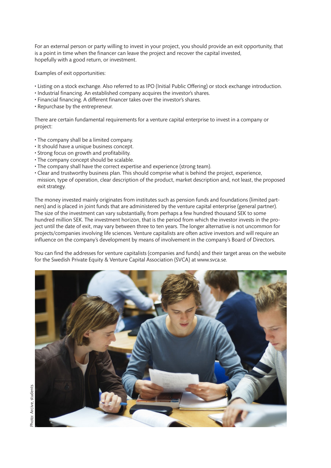For an external person or party willing to invest in your project, you should provide an exit opportunity, that is a point in time when the financer can leave the project and recover the capital invested, hopefully with a good return, or investment.

Examples of exit opportunities:

- Listing on a stock exchange. Also referred to as IPO (Initial Public Offering) or stock exchange introduction.
- Industrial financing. An established company acquires the investor's shares.
- Financial financing. A different financer takes over the investor's shares.
- Repurchase by the entrepreneur.

There are certain fundamental requirements for a venture capital enterprise to invest in a company or project:

- The company shall be a limited company.
- It should have a unique business concept.
- Strong focus on growth and profitability.
- The company concept should be scalable.
- The company shall have the correct expertise and experience (strong team).
- Clear and trustworthy business plan. This should comprise what is behind the project, experience, mission, type of operation, clear description of the product, market description and, not least, the proposed exit strategy.

The money invested mainly originates from institutes such as pension funds and foundations (limited partners) and is placed in joint funds that are administered by the venture capital enterprise (general partner). The size of the investment can vary substantially, from perhaps a few hundred thousand SEK to some hundred million SEK. The investment horizon, that is the period from which the investor invests in the project until the date of exit, may vary between three to ten years. The longer alternative is not uncommon for projects/companies involving life sciences. Venture capitalists are often active investors and will require an influence on the company's development by means of involvement in the company's Board of Directors.

You can find the addresses for venture capitalists (companies and funds) and their target areas on the website for the Swedish Private Equity & Venture Capital Association (SVCA) at www.svca.se.

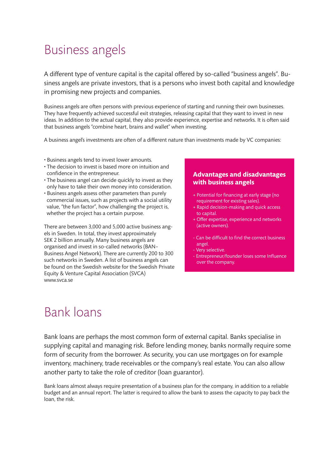# Business angels

A different type of venture capital is the capital offered by so-called "business angels". Business angels are private investors, that is a persons who invest both capital and knowledge in promising new projects and companies.

Business angels are often persons with previous experience of starting and running their own businesses. They have frequently achieved successful exit strategies, releasing capital that they want to invest in new ideas. In addition to the actual capital, they also provide experience, expertise and networks. It is often said that business angels "combine heart, brains and wallet" when investing.

A business angel's investments are often of a different nature than investments made by VC companies:

- Business angels tend to invest lower amounts.
- The decision to invest is based more on intuition and confidence in the entrepreneur.
- The business angel can decide quickly to invest as they only have to take their own money into consideration.
- Business angels assess other parameters than purely commercial issues, such as projects with a social utility value, "the fun factor", how challenging the project is, whether the project has a certain purpose.

There are between 3,000 and 5,000 active business angels in Sweden. In total, they invest approximately SEK 2 billion annually. Many business angels are organised and invest in so-called networks (BAN– Business Angel Network). There are currently 200 to 300 such networks in Sweden. A list of business angels can be found on the Swedish website for the Swedish Private Equity & Venture Capital Association (SVCA) www.svca.se

### **Advantages and disadvantages with business angels**

- + Potential for financing at early stage (no requirement for existing sales).
- + Rapid decision-making and quick access to capital.
- + Offer expertise, experience and networks (active owners).
- Can be difficult to find the correct business angel.
- Very selective.
- Entrepreneur/founder loses some Influence over the company.

# Bank loans

Bank loans are perhaps the most common form of external capital. Banks specialise in supplying capital and managing risk. Before lending money, banks normally require some form of security from the borrower. As security, you can use mortgages on for example inventory, machinery, trade receivables or the company's real estate. You can also allow another party to take the role of creditor (loan guarantor).

Bank loans almost always require presentation of a business plan for the company, in addition to a reliable budget and an annual report. The latter is required to allow the bank to assess the capacity to pay back the loan, the risk.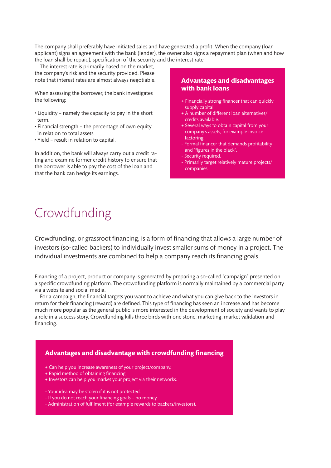The company shall preferably have initiated sales and have generated a profit. When the company (loan applicant) signs an agreement with the bank (lender), the owner also signs a repayment plan (when and how the loan shall be repaid), specification of the security and the interest rate.

 The interest rate is primarily based on the market, the company's risk and the security provided. Please note that interest rates are almost always negotiable.

When assessing the borrower, the bank investigates the following:

- Liquidity namely the capacity to pay in the short term.
- Financial strength the percentage of own equity in relation to total assets.
- Yield result in relation to capital.

In addition, the bank will always carry out a credit rating and examine former credit history to ensure that the borrower is able to pay the cost of the loan and that the bank can hedge its earnings.

### **Advantages and disadvantages with bank loans**

- + Financially strong financer that can quickly supply capital.
- + A number of different loan alternatives/ credits available.
- + Several ways to obtain capital from your company's assets, for example invoice factoring.
- Formal financer that demands profitability and "figures in the black".
- Security required.
- Primarily target relatively mature projects/ companies.

# Crowdfunding

Crowdfunding, or grassroot financing, is a form of financing that allows a large number of investors (so-called backers) to individually invest smaller sums of money in a project. The individual investments are combined to help a company reach its financing goals.

Financing of a project, product or company is generated by preparing a so-called "campaign" presented on a specific crowdfunding platform. The crowdfunding platform is normally maintained by a commercial party via a website and social media.

 For a campaign, the financial targets you want to achieve and what you can give back to the investors in return for their financing (reward) are defined. This type of financing has seen an increase and has become much more popular as the general public is more interested in the development of society and wants to play a role in a success story. Crowdfunding kills three birds with one stone; marketing, market validation and financing.

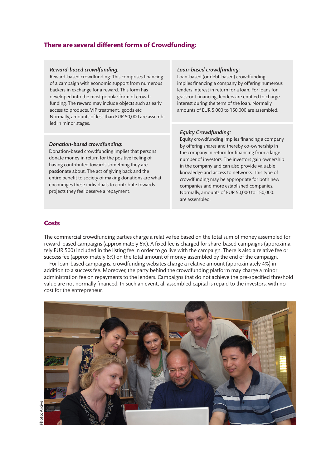### **There are several different forms of Crowdfunding:**

#### *Reward-based crowdfunding:*

Reward-based crowdfunding: This comprises financing of a campaign with economic support from numerous backers in exchange for a reward. This form has developed into the most popular form of crowdfunding. The reward may include objects such as early access to products, VIP treatment, goods etc. Normally, amounts of less than EUR 50,000 are assembled in minor stages.

#### *Donation-based crowdfunding:*

Donation-based crowdfunding implies that persons donate money in return for the positive feeling of having contributed towards something they are passionate about. The act of giving back and the entire benefit to society of making donations are what encourages these individuals to contribute towards projects they feel deserve a repayment.

#### *Loan-based crowdfunding:*

Loan-based (or debt-based) crowdfunding implies financing a company by offering numerous lenders interest in return for a loan. For loans for grassroot financing, lenders are entitled to charge interest during the term of the loan. Normally, amounts of EUR 5,000 to 150,000 are assembled.

#### *Equity Crowdfunding:*

Equity crowdfunding implies financing a company by offering shares and thereby co-ownership in the company in return for financing from a large number of investors. The investors gain ownership in the company and can also provide valuable knowledge and access to networks. This type of crowdfunding may be appropriate for both new companies and more established companies. Normally, amounts of EUR 50,000 to 150,000. are assembled.

### **Costs**

The commercial crowdfunding parties charge a relative fee based on the total sum of money assembled for reward-based campaigns (approximately 6%). A fixed fee is charged for share-based campaigns (approximately EUR 500) included in the listing fee in order to go live with the campaign. There is also a relative fee or success fee (approximately 8%) on the total amount of money assembled by the end of the campaign.

 For loan-based campaigns, crowdfunding websites charge a relative amount (approximately 4%) in addition to a success fee. Moreover, the party behind the crowdfunding platform may charge a minor administration fee on repayments to the lenders. Campaigns that do not achieve the pre-specified threshold value are not normally financed. In such an event, all assembled capital is repaid to the investors, with no cost for the entrepreneur.

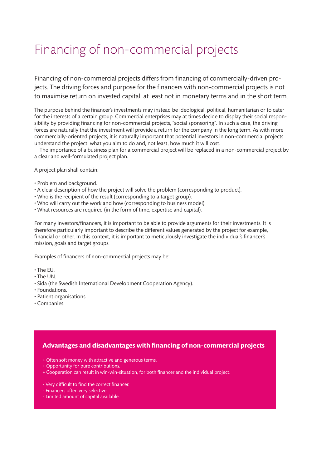# Financing of non-commercial projects

Financing of non-commercial projects differs from financing of commercially-driven projects. The driving forces and purpose for the financers with non-commercial projects is not to maximise return on invested capital, at least not in monetary terms and in the short term.

The purpose behind the financer's investments may instead be ideological, political, humanitarian or to cater for the interests of a certain group. Commercial enterprises may at times decide to display their social responsibility by providing financing for non-commercial projects, "social sponsoring". In such a case, the driving forces are naturally that the investment will provide a return for the company in the long term. As with more commercially-oriented projects, it is naturally important that potential investors in non-commercial projects understand the project, what you aim to do and, not least, how much it will cost.

 The importance of a business plan for a commercial project will be replaced in a non-commercial project by a clear and well-formulated project plan.

A project plan shall contain:

- Problem and background.
- A clear description of how the project will solve the problem (corresponding to product).
- Who is the recipient of the result (corresponding to a target group).
- Who will carry out the work and how (corresponding to business model).
- What resources are required (in the form of time, expertise and capital).

For many investors/financers, it is important to be able to provide arguments for their investments. It is therefore particularly important to describe the different values generated by the project for example, financial or other. In this context, it is important to meticulously investigate the individual's financer's mission, goals and target groups.

Examples of financers of non-commercial projects may be:

- The EU.
- The UN.
- Sida (the Swedish International Development Cooperation Agency).
- Foundations.
- Patient organisations.
- Companies.

### **Advantages and disadvantages with financing of non-commercial projects**

- + Often soft money with attractive and generous terms.
- + Opportunity for pure contributions.
- + Cooperation can result in win-win-situation, for both financer and the individual project.
- Very difficult to find the correct financer.
- Financers often very selective.
- Limited amount of capital available.